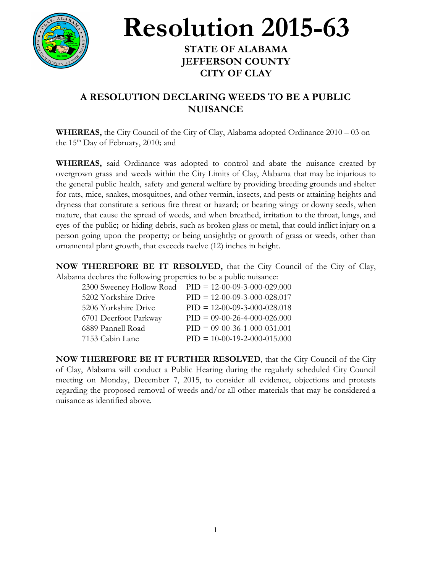

## **Resolution 2015-63**

## **STATE OF ALABAMA JEFFERSON COUNTY CITY OF CLAY**

## **A RESOLUTION DECLARING WEEDS TO BE A PUBLIC NUISANCE**

**WHEREAS,** the City Council of the City of Clay, Alabama adopted Ordinance 2010 – 03 on the 15<sup>th</sup> Day of February, 2010; and

**WHEREAS,** said Ordinance was adopted to control and abate the nuisance created by overgrown grass and weeds within the City Limits of Clay, Alabama that may be injurious to the general public health, safety and general welfare by providing breeding grounds and shelter for rats, mice, snakes, mosquitoes, and other vermin, insects, and pests or attaining heights and dryness that constitute a serious fire threat or hazard; or bearing wingy or downy seeds, when mature, that cause the spread of weeds, and when breathed, irritation to the throat, lungs, and eyes of the public; or hiding debris, such as broken glass or metal, that could inflict injury on a person going upon the property; or being unsightly; or growth of grass or weeds, other than ornamental plant growth, that exceeds twelve (12) inches in height.

**NOW THEREFORE BE IT RESOLVED,** that the City Council of the City of Clay, Alabama declares the following properties to be a public nuisance:

| 2300 Sweeney Hollow Road | $PID = 12-00-09-3-000-029.000$ |
|--------------------------|--------------------------------|
| 5202 Yorkshire Drive     | $PID = 12-00-09-3-000-028.017$ |
| 5206 Yorkshire Drive     | $PID = 12-00-09-3-000-028.018$ |
| 6701 Deerfoot Parkway    | $PID = 09-00-26-4-000-026.000$ |
| 6889 Pannell Road        | $PID = 09-00-36-1-000-031.001$ |
| 7153 Cabin Lane          | $PID = 10-00-19-2-000-015.000$ |

**NOW THEREFORE BE IT FURTHER RESOLVED**, that the City Council of the City of Clay, Alabama will conduct a Public Hearing during the regularly scheduled City Council meeting on Monday, December 7, 2015, to consider all evidence, objections and protests regarding the proposed removal of weeds and/or all other materials that may be considered a nuisance as identified above.